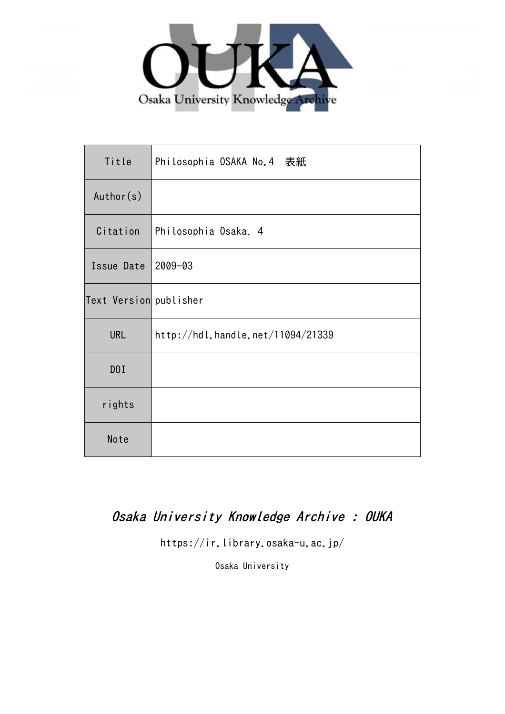

| Title                  | Philosophia OSAKA No.4 表紙         |
|------------------------|-----------------------------------|
| Author(s)              |                                   |
| Citation               | Philosophia Osaka. 4              |
| Issue Date             | $2009 - 03$                       |
| Text Version publisher |                                   |
| <b>URL</b>             | http://hdl.handle.net/11094/21339 |
| D0I                    |                                   |
| rights                 |                                   |
| Note                   |                                   |

### Osaka University Knowledge Archive : OUKA

https://ir.library.osaka-u.ac.jp/

Osaka University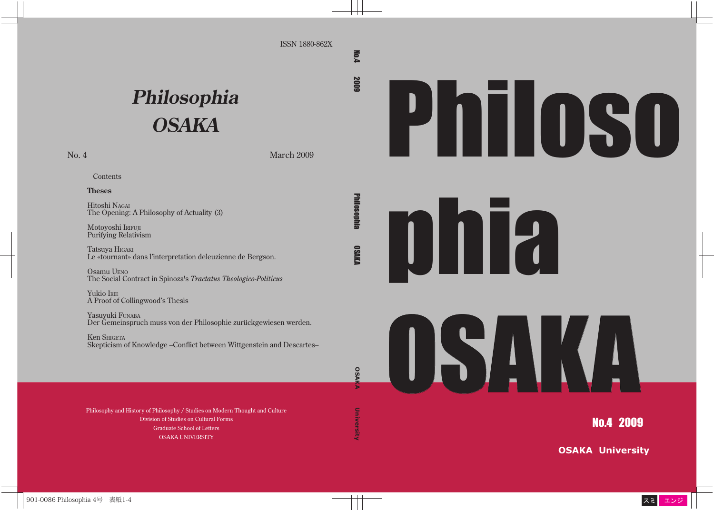#### ISSN 1880-862X

**Mo.4 2009** 

Philosophia OSAKA

**Philosophia** 

**OSAKA UNIVERSITY NO.4 2009 DINGSOPHIA OSAKA UNIVERSITYY OSAKA UNIVERSITYY** 

**DSAKA** 

**DSA** 

University

# **Philosophia OSAKA**

No. 4 March 2009

### **Contents**

#### **Theses**

Hitoshi NAGAI The Opening: A Philosophy of Actuality (3)

Motoyoshi IRIFUJI Purifying Relativism

Tatsuya HIGAKI Le «tournant» dans l'interpretation deleuzienne de Bergson.

Osamu UENO The Social Contract in Spinoza's *Tractatus Theologico-Politicus*

Yukio IRIE A Proof of Collingwood's Thesis

Yasuyuki FUNABA Der Gemeinspruch muss von der Philosophie zurückgewiesen werden.

Ken SHIGETA Skepticism of Knowledge –Conflict between Wittgenstein and Descartes–

Philosophy and History of Philosophy / Studies on Modern Thought and Culture Division of Studies on Cultural Forms Graduate School of Letters OSAKA UNIVERSITY

Philoso





No.4 2009

**OSAKA University**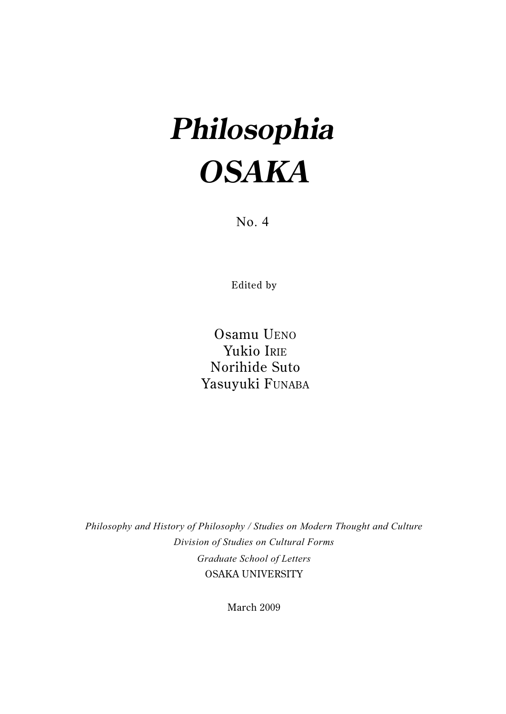## **Philosophia OSAKA**

No. 4

Edited by

Osamu UENO Yukio IRIE Norihide Suto Yasuyuki FUNABA

*Philosophy and History of Philosophy / Studies on Modern Thought and Culture Division of Studies on Cultural Forms Graduate School of Letters* OSAKA UNIVERSITY

March 2009